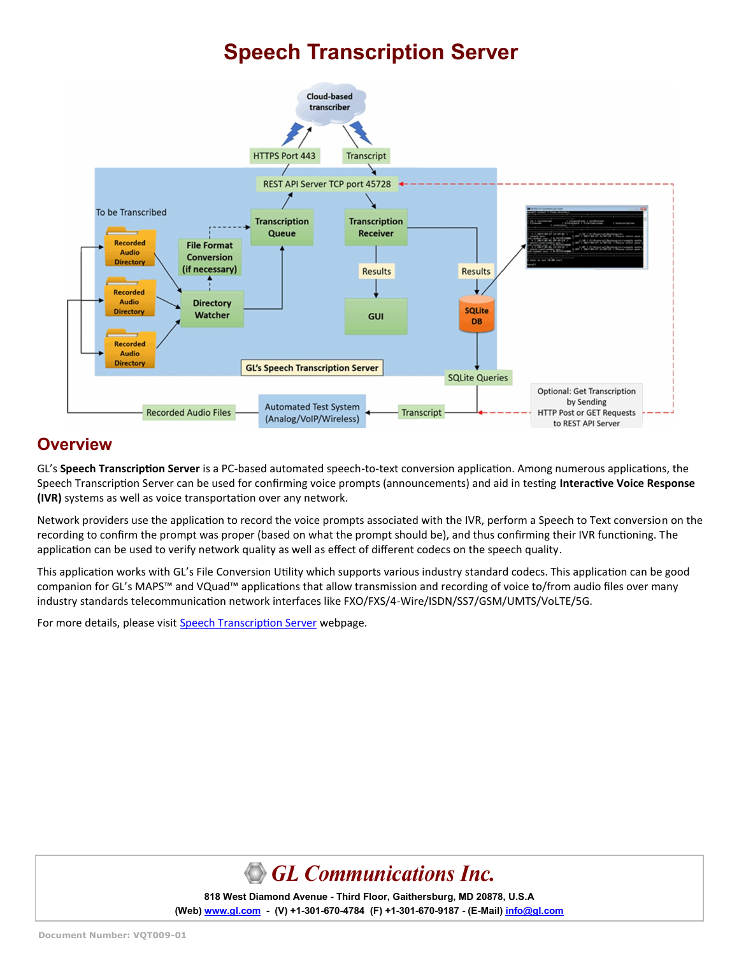# **Speech Transcription Server**



#### **Overview**

GL's **Speech Transcription Server** is a PC-based automated speech-to-text conversion application. Among numerous applications, the Speech Transcription Server can be used for confirming voice prompts (announcements) and aid in testing **Interactive Voice Response (IVR)** systems as well as voice transportation over any network.

Network providers use the application to record the voice prompts associated with the IVR, perform a Speech to Text conversion on the recording to confirm the prompt was proper (based on what the prompt should be), and thus confirming their IVR functioning. The application can be used to verify network quality as well as effect of different codecs on the speech quality.

This application works with GL's File Conversion Utility which supports various industry standard codecs. This application can be good companion for GL's MAPS™ and VQuad™ applications that allow transmission and recording of voice to/from audio files over many industry standards telecommunication network interfaces like FXO/FXS/4-Wire/ISDN/SS7/GSM/UMTS/VoLTE/5G.

For more details, please visit [Speech Transcription Server](https://www.gl.com/speech-to-text-conversion-utility.html) webpage.



**818 West Diamond Avenue - Third Floor, Gaithersburg, MD 20878, U.S.A** (Web) [www.gl.com](https://www.gl.com) - (V) +1-301-670-4784 (F) +1-301-670-9187 - (E-Mail) [info@gl.com](https://www.gl.com/inforequestform.php)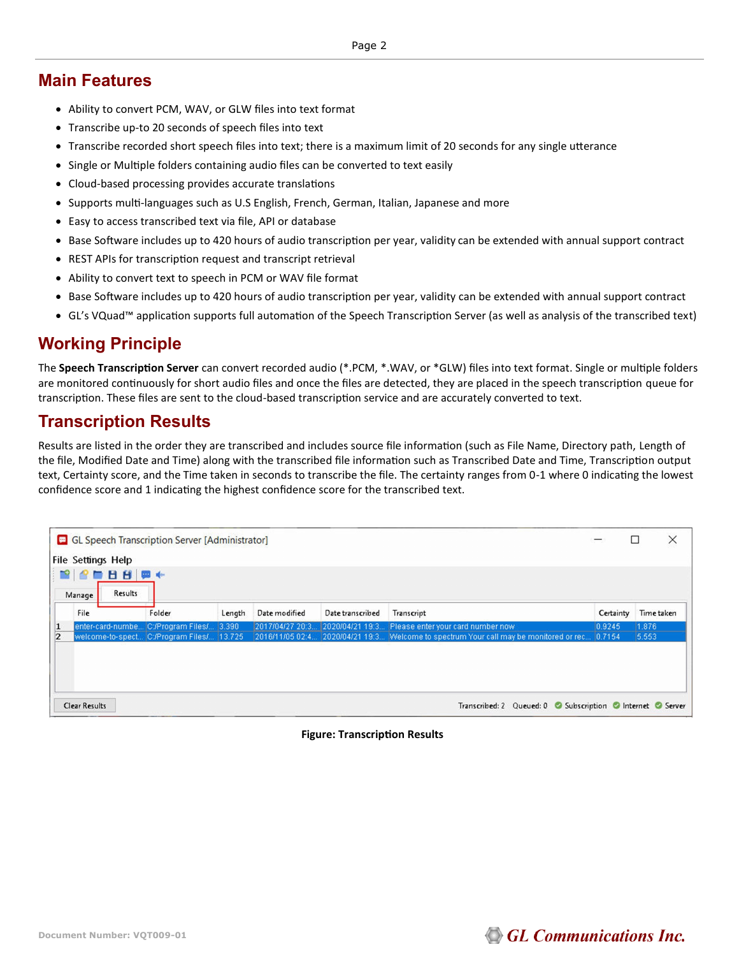### **Main Features**

- Ability to convert PCM, WAV, or GLW files into text format
- Transcribe up-to 20 seconds of speech files into text
- Transcribe recorded short speech files into text; there is a maximum limit of 20 seconds for any single utterance
- Single or Multiple folders containing audio files can be converted to text easily
- Cloud-based processing provides accurate translations
- Supports multi-languages such as U.S English, French, German, Italian, Japanese and more
- Easy to access transcribed text via file, API or database
- Base Software includes up to 420 hours of audio transcription per year, validity can be extended with annual support contract
- REST APIs for transcription request and transcript retrieval
- Ability to convert text to speech in PCM or WAV file format
- Base Software includes up to 420 hours of audio transcription per year, validity can be extended with annual support contract
- GL's VQuad™ application supports full automation of the Speech Transcription Server (as well as analysis of the transcribed text)

### **Working Principle**

The **Speech Transcription Server** can convert recorded audio (\*.PCM, \*.WAV, or \*GLW) files into text format. Single or multiple folders are monitored continuously for short audio files and once the files are detected, they are placed in the speech transcription queue for transcription. These files are sent to the cloud-based transcription service and are accurately converted to text.

### **Transcription Results**

Results are listed in the order they are transcribed and includes source file information (such as File Name, Directory path, Length of the file, Modified Date and Time) along with the transcribed file information such as Transcribed Date and Time, Transcription output text, Certainty score, and the Time taken in seconds to transcribe the file. The certainty ranges from 0-1 where 0 indicating the lowest confidence score and 1 indicating the highest confidence score for the transcribed text.

|   | GL Speech Transcription Server [Administrator]<br><b>File Settings Help</b><br>$\begin{array}{c c c c c c} \hline \textbf{B} & \textbf{B} & \textbf{B} & \textbf{B} & \textbf{B} & \textbf{B} & \textbf{B} & \textbf{B} & \textbf{B} & \textbf{B} & \textbf{B} & \textbf{B} & \textbf{B} & \textbf{B} & \textbf{B} & \textbf{B} & \textbf{B} & \textbf{B} & \textbf{B} & \textbf{B} & \textbf{B} & \textbf{B} & \textbf{B} & \textbf{B} & \textbf{B} & \textbf{B} & \textbf{B} & \textbf{B} & \textbf{$<br>Results<br>Manage |                                           |        |               |                  |                                                                                                |           |            |
|---|------------------------------------------------------------------------------------------------------------------------------------------------------------------------------------------------------------------------------------------------------------------------------------------------------------------------------------------------------------------------------------------------------------------------------------------------------------------------------------------------------------------------------|-------------------------------------------|--------|---------------|------------------|------------------------------------------------------------------------------------------------|-----------|------------|
|   | File                                                                                                                                                                                                                                                                                                                                                                                                                                                                                                                         | Folder                                    | Length | Date modified | Date transcribed | Transcript                                                                                     | Certainty | Time taken |
| 1 |                                                                                                                                                                                                                                                                                                                                                                                                                                                                                                                              | enter-card-numbe C:/Program Files/ 3.390  |        |               |                  | [2017/04/27 20:3] 2020/04/21 19:3 Please enter your card number now                            | 0.9245    | 1.876      |
| 2 |                                                                                                                                                                                                                                                                                                                                                                                                                                                                                                                              | welcome-to-spect C:/Program Files/ 13.725 |        |               |                  | [2016/11/05 02:4] 2020/04/21 19:3 Welcome to spectrum Your call may be monitored or rec 0.7154 |           | 5.553      |
|   |                                                                                                                                                                                                                                                                                                                                                                                                                                                                                                                              |                                           |        |               |                  |                                                                                                |           |            |
|   | <b>Clear Results</b>                                                                                                                                                                                                                                                                                                                                                                                                                                                                                                         |                                           |        |               |                  | Transcribed: 2 Queued: 0 Subscription C Internet C Server                                      |           |            |

#### **Figure: Transcription Results**

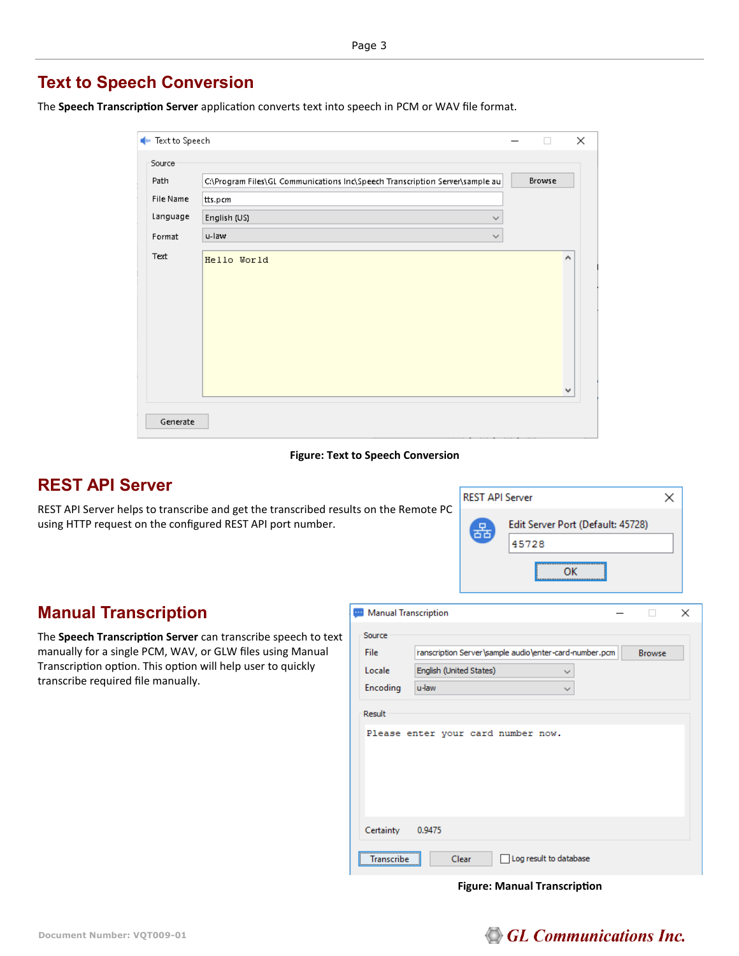### **Text to Speech Conversion**

The **Speech Transcription Server** application converts text into speech in PCM or WAV file format.

|        | <b>Ext to Speech</b> |                                                                              |        | $\times$ |
|--------|----------------------|------------------------------------------------------------------------------|--------|----------|
| Source |                      |                                                                              |        |          |
| Path   |                      | C:\Program Files\GL Communications Inc\Speech Transcription Server\sample au | Browse |          |
|        | <b>File Name</b>     | tts.pcm                                                                      |        |          |
|        | Language             | English (US)<br>$\checkmark$                                                 |        |          |
| Format |                      | u-law<br>$\checkmark$                                                        |        |          |
| Text   |                      | Hello World                                                                  |        | ۸<br>٧   |
|        | Generate             |                                                                              |        |          |

#### **Figure: Text to Speech Conversion**

#### **REST API Server**

REST API Server helps to transcribe and get the transcribed results on the Remote PC using HTTP request on the configured REST API port number.



#### **Manual Transcription**

The **Speech Transcription Server** can transcribe speech to text manually for a single PCM, WAV, or GLW files using Manual Transcription option. This option will help user to quickly transcribe required file manually.

| Manual Transcription |                                                        |  |               | × |  |  |  |  |
|----------------------|--------------------------------------------------------|--|---------------|---|--|--|--|--|
| Source               |                                                        |  |               |   |  |  |  |  |
| File                 | ranscription Server\sample audio\enter-card-number.pcm |  | <b>Browse</b> |   |  |  |  |  |
| Locale               | English (United States)<br>$\checkmark$                |  |               |   |  |  |  |  |
| Encoding             | u-law<br>$\checkmark$                                  |  |               |   |  |  |  |  |
| Result               |                                                        |  |               |   |  |  |  |  |
|                      | Please enter your card number now.                     |  |               |   |  |  |  |  |
| Certainty            | 0.9475                                                 |  |               |   |  |  |  |  |
| Transcribe           | Log result to database<br>Clear                        |  |               |   |  |  |  |  |

#### **Figure: Manual Transcription**